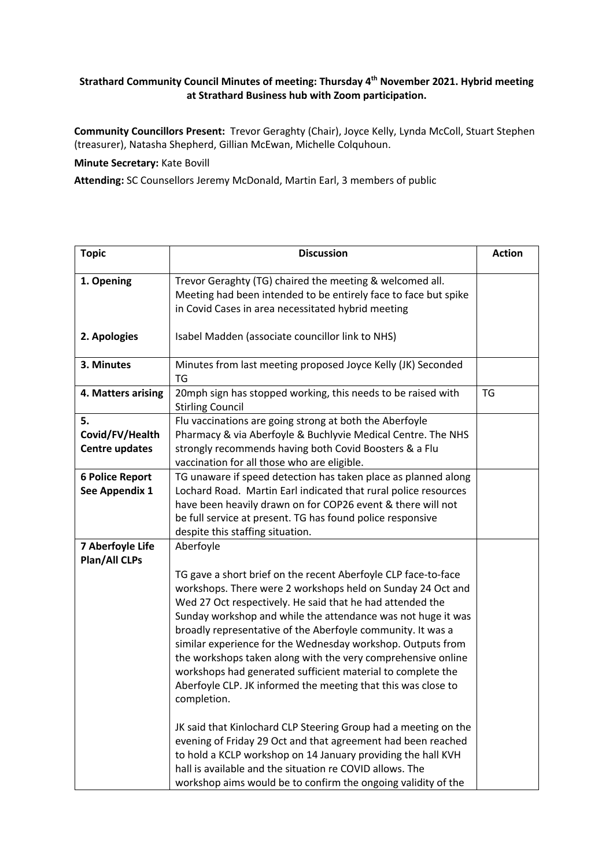### **Strathard Community Council Minutes of meeting: Thursday 4th November 2021. Hybrid meeting at Strathard Business hub with Zoom participation.**

**Community Councillors Present:** Trevor Geraghty (Chair), Joyce Kelly, Lynda McColl, Stuart Stephen (treasurer), Natasha Shepherd, Gillian McEwan, Michelle Colquhoun.

**Minute Secretary:** Kate Bovill

**Attending:** SC Counsellors Jeremy McDonald, Martin Earl, 3 members of public

| <b>Topic</b>                                   | <b>Discussion</b>                                                                                                                                                                                                                                                                                                                                                                                                                                                                                                                                                                                                                                                                                                                                                                                                                                                                                                                                    | <b>Action</b> |  |  |
|------------------------------------------------|------------------------------------------------------------------------------------------------------------------------------------------------------------------------------------------------------------------------------------------------------------------------------------------------------------------------------------------------------------------------------------------------------------------------------------------------------------------------------------------------------------------------------------------------------------------------------------------------------------------------------------------------------------------------------------------------------------------------------------------------------------------------------------------------------------------------------------------------------------------------------------------------------------------------------------------------------|---------------|--|--|
| 1. Opening                                     | Trevor Geraghty (TG) chaired the meeting & welcomed all.<br>Meeting had been intended to be entirely face to face but spike<br>in Covid Cases in area necessitated hybrid meeting                                                                                                                                                                                                                                                                                                                                                                                                                                                                                                                                                                                                                                                                                                                                                                    |               |  |  |
| 2. Apologies                                   | Isabel Madden (associate councillor link to NHS)                                                                                                                                                                                                                                                                                                                                                                                                                                                                                                                                                                                                                                                                                                                                                                                                                                                                                                     |               |  |  |
| 3. Minutes                                     | Minutes from last meeting proposed Joyce Kelly (JK) Seconded<br>TG                                                                                                                                                                                                                                                                                                                                                                                                                                                                                                                                                                                                                                                                                                                                                                                                                                                                                   |               |  |  |
| 4. Matters arising                             | 20mph sign has stopped working, this needs to be raised with<br><b>Stirling Council</b>                                                                                                                                                                                                                                                                                                                                                                                                                                                                                                                                                                                                                                                                                                                                                                                                                                                              | <b>TG</b>     |  |  |
| 5.<br>Covid/FV/Health<br><b>Centre updates</b> | Flu vaccinations are going strong at both the Aberfoyle<br>Pharmacy & via Aberfoyle & Buchlyvie Medical Centre. The NHS<br>strongly recommends having both Covid Boosters & a Flu<br>vaccination for all those who are eligible.                                                                                                                                                                                                                                                                                                                                                                                                                                                                                                                                                                                                                                                                                                                     |               |  |  |
| <b>6 Police Report</b><br>See Appendix 1       | TG unaware if speed detection has taken place as planned along<br>Lochard Road. Martin Earl indicated that rural police resources<br>have been heavily drawn on for COP26 event & there will not<br>be full service at present. TG has found police responsive<br>despite this staffing situation.                                                                                                                                                                                                                                                                                                                                                                                                                                                                                                                                                                                                                                                   |               |  |  |
| 7 Aberfoyle Life<br>Plan/All CLPs              | Aberfoyle<br>TG gave a short brief on the recent Aberfoyle CLP face-to-face<br>workshops. There were 2 workshops held on Sunday 24 Oct and<br>Wed 27 Oct respectively. He said that he had attended the<br>Sunday workshop and while the attendance was not huge it was<br>broadly representative of the Aberfoyle community. It was a<br>similar experience for the Wednesday workshop. Outputs from<br>the workshops taken along with the very comprehensive online<br>workshops had generated sufficient material to complete the<br>Aberfoyle CLP. JK informed the meeting that this was close to<br>completion.<br>JK said that Kinlochard CLP Steering Group had a meeting on the<br>evening of Friday 29 Oct and that agreement had been reached<br>to hold a KCLP workshop on 14 January providing the hall KVH<br>hall is available and the situation re COVID allows. The<br>workshop aims would be to confirm the ongoing validity of the |               |  |  |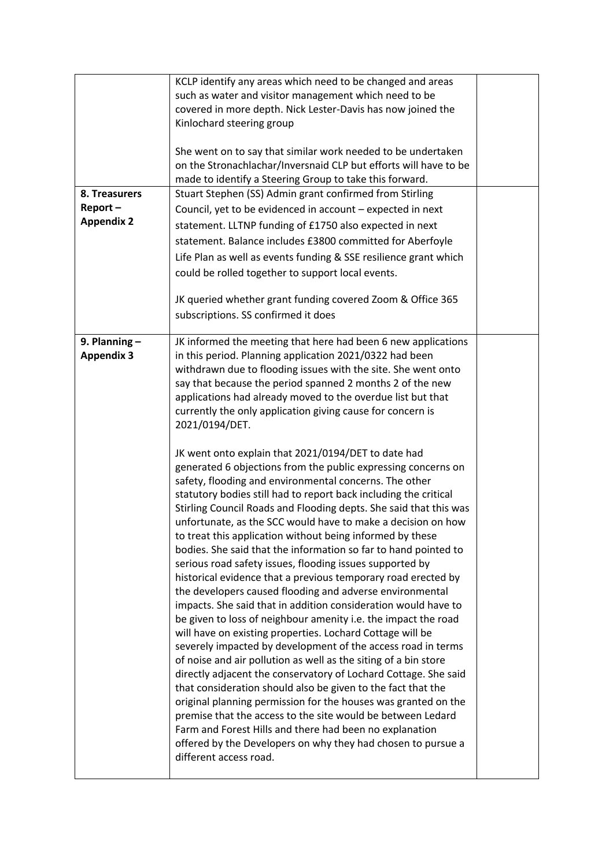| 8. Treasurers<br>Report-<br><b>Appendix 2</b> | KCLP identify any areas which need to be changed and areas<br>such as water and visitor management which need to be<br>covered in more depth. Nick Lester-Davis has now joined the<br>Kinlochard steering group<br>She went on to say that similar work needed to be undertaken<br>on the Stronachlachar/Inversnaid CLP but efforts will have to be<br>made to identify a Steering Group to take this forward.<br>Stuart Stephen (SS) Admin grant confirmed from Stirling<br>Council, yet to be evidenced in account - expected in next<br>statement. LLTNP funding of £1750 also expected in next<br>statement. Balance includes £3800 committed for Aberfoyle<br>Life Plan as well as events funding & SSE resilience grant which<br>could be rolled together to support local events.<br>JK queried whether grant funding covered Zoom & Office 365<br>subscriptions. SS confirmed it does                                                                                                                                                                                                                                                                                                                                                                                                                                                                                                                                                                                                                                                                                                                                                                                                                                                                                                                                                                                          |  |
|-----------------------------------------------|----------------------------------------------------------------------------------------------------------------------------------------------------------------------------------------------------------------------------------------------------------------------------------------------------------------------------------------------------------------------------------------------------------------------------------------------------------------------------------------------------------------------------------------------------------------------------------------------------------------------------------------------------------------------------------------------------------------------------------------------------------------------------------------------------------------------------------------------------------------------------------------------------------------------------------------------------------------------------------------------------------------------------------------------------------------------------------------------------------------------------------------------------------------------------------------------------------------------------------------------------------------------------------------------------------------------------------------------------------------------------------------------------------------------------------------------------------------------------------------------------------------------------------------------------------------------------------------------------------------------------------------------------------------------------------------------------------------------------------------------------------------------------------------------------------------------------------------------------------------------------------------|--|
| 9. Planning -<br><b>Appendix 3</b>            | JK informed the meeting that here had been 6 new applications<br>in this period. Planning application 2021/0322 had been<br>withdrawn due to flooding issues with the site. She went onto<br>say that because the period spanned 2 months 2 of the new<br>applications had already moved to the overdue list but that<br>currently the only application giving cause for concern is<br>2021/0194/DET.<br>JK went onto explain that 2021/0194/DET to date had<br>generated 6 objections from the public expressing concerns on<br>safety, flooding and environmental concerns. The other<br>statutory bodies still had to report back including the critical<br>Stirling Council Roads and Flooding depts. She said that this was<br>unfortunate, as the SCC would have to make a decision on how<br>to treat this application without being informed by these<br>bodies. She said that the information so far to hand pointed to<br>serious road safety issues, flooding issues supported by<br>historical evidence that a previous temporary road erected by<br>the developers caused flooding and adverse environmental<br>impacts. She said that in addition consideration would have to<br>be given to loss of neighbour amenity i.e. the impact the road<br>will have on existing properties. Lochard Cottage will be<br>severely impacted by development of the access road in terms<br>of noise and air pollution as well as the siting of a bin store<br>directly adjacent the conservatory of Lochard Cottage. She said<br>that consideration should also be given to the fact that the<br>original planning permission for the houses was granted on the<br>premise that the access to the site would be between Ledard<br>Farm and Forest Hills and there had been no explanation<br>offered by the Developers on why they had chosen to pursue a<br>different access road. |  |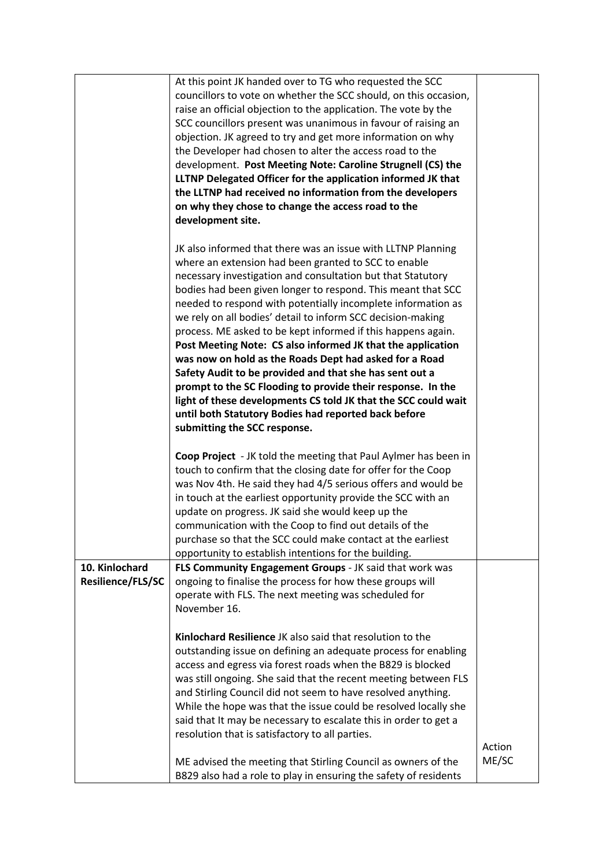|                                     | At this point JK handed over to TG who requested the SCC<br>councillors to vote on whether the SCC should, on this occasion,<br>raise an official objection to the application. The vote by the<br>SCC councillors present was unanimous in favour of raising an<br>objection. JK agreed to try and get more information on why<br>the Developer had chosen to alter the access road to the<br>development. Post Meeting Note: Caroline Strugnell (CS) the                                                                                                                                                                                                                                                                                                                                                                                                      |                 |
|-------------------------------------|-----------------------------------------------------------------------------------------------------------------------------------------------------------------------------------------------------------------------------------------------------------------------------------------------------------------------------------------------------------------------------------------------------------------------------------------------------------------------------------------------------------------------------------------------------------------------------------------------------------------------------------------------------------------------------------------------------------------------------------------------------------------------------------------------------------------------------------------------------------------|-----------------|
|                                     | LLTNP Delegated Officer for the application informed JK that<br>the LLTNP had received no information from the developers<br>on why they chose to change the access road to the<br>development site.                                                                                                                                                                                                                                                                                                                                                                                                                                                                                                                                                                                                                                                            |                 |
|                                     | JK also informed that there was an issue with LLTNP Planning<br>where an extension had been granted to SCC to enable<br>necessary investigation and consultation but that Statutory<br>bodies had been given longer to respond. This meant that SCC<br>needed to respond with potentially incomplete information as<br>we rely on all bodies' detail to inform SCC decision-making<br>process. ME asked to be kept informed if this happens again.<br>Post Meeting Note: CS also informed JK that the application<br>was now on hold as the Roads Dept had asked for a Road<br>Safety Audit to be provided and that she has sent out a<br>prompt to the SC Flooding to provide their response. In the<br>light of these developments CS told JK that the SCC could wait<br>until both Statutory Bodies had reported back before<br>submitting the SCC response. |                 |
|                                     | Coop Project - JK told the meeting that Paul Aylmer has been in<br>touch to confirm that the closing date for offer for the Coop<br>was Nov 4th. He said they had 4/5 serious offers and would be<br>in touch at the earliest opportunity provide the SCC with an<br>update on progress. JK said she would keep up the<br>communication with the Coop to find out details of the<br>purchase so that the SCC could make contact at the earliest<br>opportunity to establish intentions for the building.                                                                                                                                                                                                                                                                                                                                                        |                 |
| 10. Kinlochard<br>Resilience/FLS/SC | FLS Community Engagement Groups - JK said that work was<br>ongoing to finalise the process for how these groups will<br>operate with FLS. The next meeting was scheduled for<br>November 16.                                                                                                                                                                                                                                                                                                                                                                                                                                                                                                                                                                                                                                                                    |                 |
|                                     | Kinlochard Resilience JK also said that resolution to the<br>outstanding issue on defining an adequate process for enabling<br>access and egress via forest roads when the B829 is blocked<br>was still ongoing. She said that the recent meeting between FLS<br>and Stirling Council did not seem to have resolved anything.<br>While the hope was that the issue could be resolved locally she<br>said that It may be necessary to escalate this in order to get a<br>resolution that is satisfactory to all parties.                                                                                                                                                                                                                                                                                                                                         |                 |
|                                     | ME advised the meeting that Stirling Council as owners of the<br>B829 also had a role to play in ensuring the safety of residents                                                                                                                                                                                                                                                                                                                                                                                                                                                                                                                                                                                                                                                                                                                               | Action<br>ME/SC |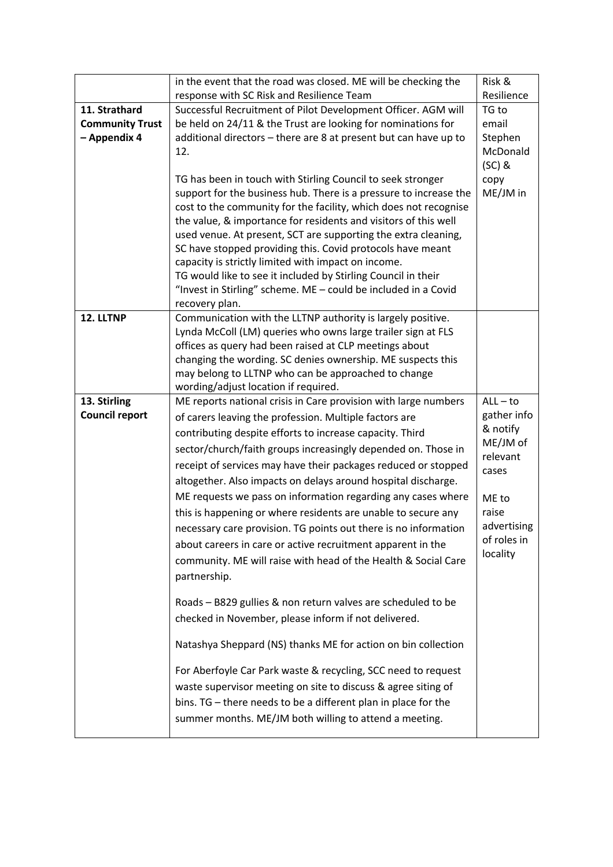|                                                                | in the event that the road was closed. ME will be checking the<br>Risk &<br>Resilience                                                                                                                                                           |                      |  |  |  |  |  |
|----------------------------------------------------------------|--------------------------------------------------------------------------------------------------------------------------------------------------------------------------------------------------------------------------------------------------|----------------------|--|--|--|--|--|
|                                                                | response with SC Risk and Resilience Team                                                                                                                                                                                                        |                      |  |  |  |  |  |
| 11. Strathard                                                  | Successful Recruitment of Pilot Development Officer. AGM will                                                                                                                                                                                    | TG to<br>email       |  |  |  |  |  |
| <b>Community Trust</b>                                         | be held on 24/11 & the Trust are looking for nominations for                                                                                                                                                                                     |                      |  |  |  |  |  |
| - Appendix 4                                                   | additional directors - there are 8 at present but can have up to<br>12.                                                                                                                                                                          |                      |  |  |  |  |  |
|                                                                | McDonald<br>$(SC)$ &<br>TG has been in touch with Stirling Council to seek stronger<br>copy<br>support for the business hub. There is a pressure to increase the<br>ME/JM in<br>cost to the community for the facility, which does not recognise |                      |  |  |  |  |  |
|                                                                |                                                                                                                                                                                                                                                  |                      |  |  |  |  |  |
|                                                                |                                                                                                                                                                                                                                                  |                      |  |  |  |  |  |
|                                                                |                                                                                                                                                                                                                                                  |                      |  |  |  |  |  |
|                                                                | the value, & importance for residents and visitors of this well<br>used venue. At present, SCT are supporting the extra cleaning,<br>SC have stopped providing this. Covid protocols have meant                                                  |                      |  |  |  |  |  |
|                                                                |                                                                                                                                                                                                                                                  |                      |  |  |  |  |  |
|                                                                |                                                                                                                                                                                                                                                  |                      |  |  |  |  |  |
|                                                                | capacity is strictly limited with impact on income.<br>TG would like to see it included by Stirling Council in their<br>"Invest in Stirling" scheme. ME - could be included in a Covid                                                           |                      |  |  |  |  |  |
|                                                                |                                                                                                                                                                                                                                                  |                      |  |  |  |  |  |
|                                                                |                                                                                                                                                                                                                                                  |                      |  |  |  |  |  |
|                                                                | recovery plan.                                                                                                                                                                                                                                   |                      |  |  |  |  |  |
| 12. LLTNP                                                      | Communication with the LLTNP authority is largely positive.                                                                                                                                                                                      |                      |  |  |  |  |  |
|                                                                | Lynda McColl (LM) queries who owns large trailer sign at FLS                                                                                                                                                                                     |                      |  |  |  |  |  |
|                                                                | offices as query had been raised at CLP meetings about<br>changing the wording. SC denies ownership. ME suspects this                                                                                                                            |                      |  |  |  |  |  |
|                                                                | may belong to LLTNP who can be approached to change                                                                                                                                                                                              |                      |  |  |  |  |  |
|                                                                | wording/adjust location if required.                                                                                                                                                                                                             |                      |  |  |  |  |  |
| 13. Stirling                                                   | ME reports national crisis in Care provision with large numbers                                                                                                                                                                                  | $ALL - to$           |  |  |  |  |  |
| <b>Council report</b>                                          | of carers leaving the profession. Multiple factors are                                                                                                                                                                                           | gather info          |  |  |  |  |  |
|                                                                | contributing despite efforts to increase capacity. Third                                                                                                                                                                                         | & notify             |  |  |  |  |  |
|                                                                | sector/church/faith groups increasingly depended on. Those in                                                                                                                                                                                    | ME/JM of             |  |  |  |  |  |
|                                                                | receipt of services may have their packages reduced or stopped                                                                                                                                                                                   | relevant<br>cases    |  |  |  |  |  |
| altogether. Also impacts on delays around hospital discharge.  |                                                                                                                                                                                                                                                  |                      |  |  |  |  |  |
|                                                                | ME requests we pass on information regarding any cases where<br>ME to                                                                                                                                                                            |                      |  |  |  |  |  |
|                                                                | this is happening or where residents are unable to secure any                                                                                                                                                                                    |                      |  |  |  |  |  |
|                                                                | necessary care provision. TG points out there is no information                                                                                                                                                                                  | raise<br>advertising |  |  |  |  |  |
|                                                                |                                                                                                                                                                                                                                                  | of roles in          |  |  |  |  |  |
|                                                                | about careers in care or active recruitment apparent in the                                                                                                                                                                                      | locality             |  |  |  |  |  |
| community. ME will raise with head of the Health & Social Care |                                                                                                                                                                                                                                                  |                      |  |  |  |  |  |
| partnership.                                                   |                                                                                                                                                                                                                                                  |                      |  |  |  |  |  |
|                                                                | Roads - B829 gullies & non return valves are scheduled to be                                                                                                                                                                                     |                      |  |  |  |  |  |
| checked in November, please inform if not delivered.           |                                                                                                                                                                                                                                                  |                      |  |  |  |  |  |
|                                                                |                                                                                                                                                                                                                                                  |                      |  |  |  |  |  |
|                                                                | Natashya Sheppard (NS) thanks ME for action on bin collection                                                                                                                                                                                    |                      |  |  |  |  |  |
| For Aberfoyle Car Park waste & recycling, SCC need to request  |                                                                                                                                                                                                                                                  |                      |  |  |  |  |  |
|                                                                | waste supervisor meeting on site to discuss & agree siting of                                                                                                                                                                                    |                      |  |  |  |  |  |
| bins. TG – there needs to be a different plan in place for the |                                                                                                                                                                                                                                                  |                      |  |  |  |  |  |
|                                                                | summer months. ME/JM both willing to attend a meeting.                                                                                                                                                                                           |                      |  |  |  |  |  |
|                                                                |                                                                                                                                                                                                                                                  |                      |  |  |  |  |  |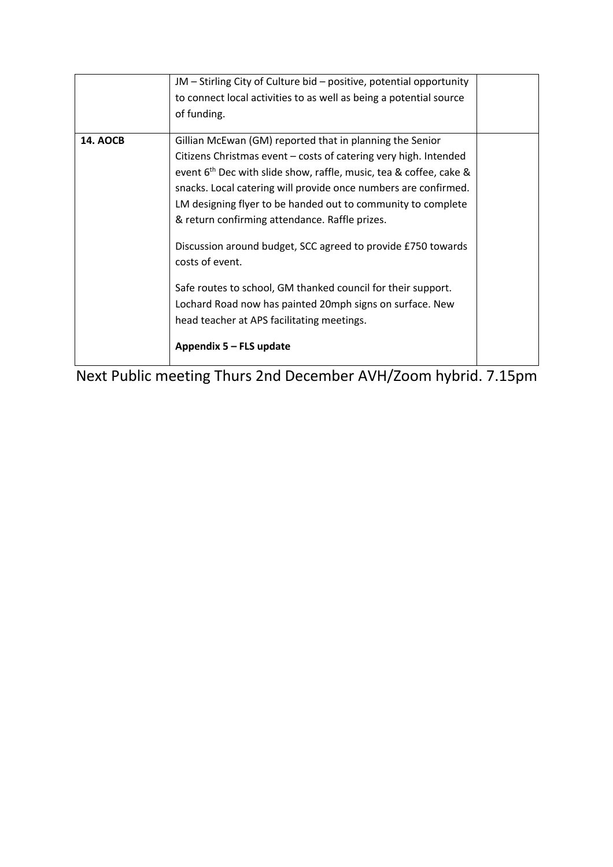|                 | JM – Stirling City of Culture bid – positive, potential opportunity<br>to connect local activities to as well as being a potential source<br>of funding.                                                                                                                                                                                                                                                                                                                                                                                                                                                                                                                                      |  |
|-----------------|-----------------------------------------------------------------------------------------------------------------------------------------------------------------------------------------------------------------------------------------------------------------------------------------------------------------------------------------------------------------------------------------------------------------------------------------------------------------------------------------------------------------------------------------------------------------------------------------------------------------------------------------------------------------------------------------------|--|
| <b>14. AOCB</b> | Gillian McEwan (GM) reported that in planning the Senior<br>Citizens Christmas event – costs of catering very high. Intended<br>event 6 <sup>th</sup> Dec with slide show, raffle, music, tea & coffee, cake &<br>snacks. Local catering will provide once numbers are confirmed.<br>LM designing flyer to be handed out to community to complete<br>& return confirming attendance. Raffle prizes.<br>Discussion around budget, SCC agreed to provide £750 towards<br>costs of event.<br>Safe routes to school, GM thanked council for their support.<br>Lochard Road now has painted 20mph signs on surface. New<br>head teacher at APS facilitating meetings.<br>Appendix $5 - FLS$ update |  |

Next Public meeting Thurs 2nd December AVH/Zoom hybrid. 7.15pm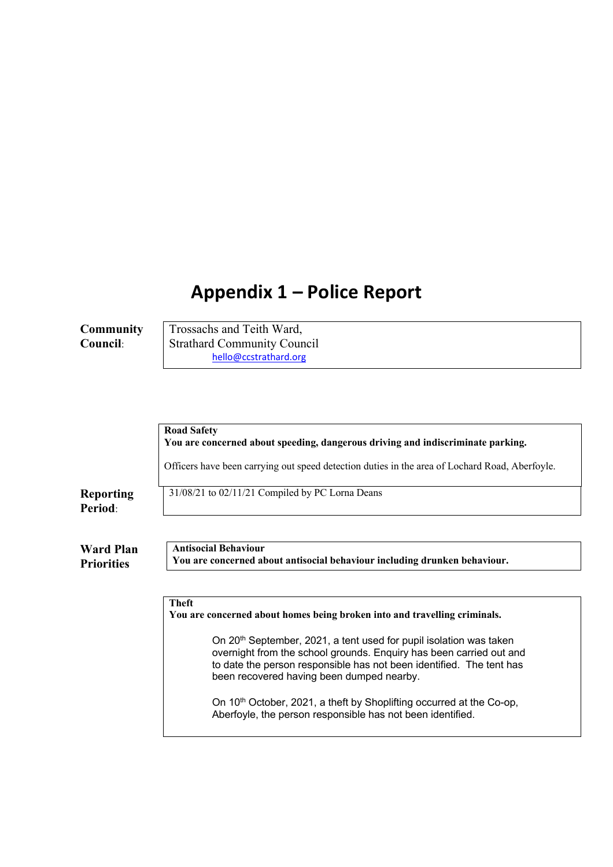# **Appendix 1 – Police Report**

**Community Council**:

Trossachs and Teith Ward, Strathard Community Council hello@ccstrathard.org

**Road Safety You are concerned about speeding, dangerous driving and indiscriminate parking.** Officers have been carrying out speed detection duties in the area of Lochard Road, Aberfoyle.

**Reporting Period**:

31/08/21 to 02/11/21 Compiled by PC Lorna Deans

**Ward Plan Priorities Antisocial Behaviour You are concerned about antisocial behaviour including drunken behaviour.**

| Theft<br>You are concerned about homes being broken into and travelling criminals. |                                                                                                                                                                                                                                                                            |  |  |
|------------------------------------------------------------------------------------|----------------------------------------------------------------------------------------------------------------------------------------------------------------------------------------------------------------------------------------------------------------------------|--|--|
|                                                                                    | On 20 <sup>th</sup> September, 2021, a tent used for pupil isolation was taken<br>overnight from the school grounds. Enquiry has been carried out and<br>to date the person responsible has not been identified. The tent has<br>been recovered having been dumped nearby. |  |  |
|                                                                                    | On 10 <sup>th</sup> October, 2021, a theft by Shoplifting occurred at the Co-op,<br>Aberfoyle, the person responsible has not been identified.                                                                                                                             |  |  |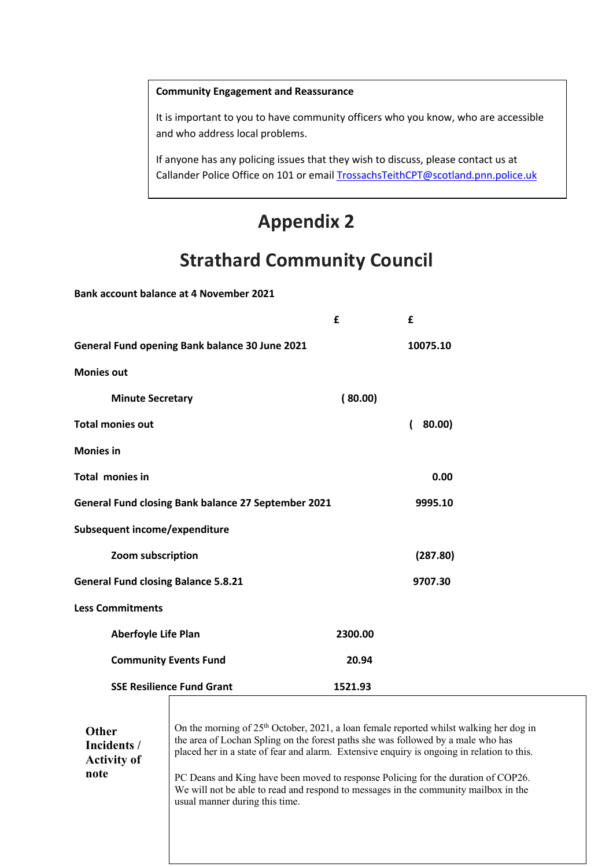### **Community Engagement and Reassurance**

It is important to you to have community officers who you know, who are accessible and who address local problems.

If anyone has any policing issues that they wish to discuss, please contact us at Callander Police Office on 101 or email TrossachsTeithCPT@scotland.pnn.police.uk

# **Appendix 2**

# **Strathard Community Council**

**Bank account balance at 4 November 2021**

|                                                            |                                                                                                                                                                                                                                                                                                                                                                           | £       | £        |  |
|------------------------------------------------------------|---------------------------------------------------------------------------------------------------------------------------------------------------------------------------------------------------------------------------------------------------------------------------------------------------------------------------------------------------------------------------|---------|----------|--|
| General Fund opening Bank balance 30 June 2021             |                                                                                                                                                                                                                                                                                                                                                                           |         | 10075.10 |  |
| <b>Monies out</b>                                          |                                                                                                                                                                                                                                                                                                                                                                           |         |          |  |
| <b>Minute Secretary</b>                                    |                                                                                                                                                                                                                                                                                                                                                                           | (80.00) |          |  |
| <b>Total monies out</b>                                    |                                                                                                                                                                                                                                                                                                                                                                           |         | 80.00)   |  |
| <b>Monies in</b>                                           |                                                                                                                                                                                                                                                                                                                                                                           |         |          |  |
| <b>Total monies in</b>                                     |                                                                                                                                                                                                                                                                                                                                                                           |         | 0.00     |  |
| <b>General Fund closing Bank balance 27 September 2021</b> |                                                                                                                                                                                                                                                                                                                                                                           |         | 9995.10  |  |
| Subsequent income/expenditure                              |                                                                                                                                                                                                                                                                                                                                                                           |         |          |  |
| Zoom subscription                                          |                                                                                                                                                                                                                                                                                                                                                                           |         | (287.80) |  |
| <b>General Fund closing Balance 5.8.21</b>                 |                                                                                                                                                                                                                                                                                                                                                                           |         | 9707.30  |  |
| <b>Less Commitments</b>                                    |                                                                                                                                                                                                                                                                                                                                                                           |         |          |  |
| <b>Aberfoyle Life Plan</b><br>2300.00                      |                                                                                                                                                                                                                                                                                                                                                                           |         |          |  |
| <b>Community Events Fund</b>                               |                                                                                                                                                                                                                                                                                                                                                                           | 20.94   |          |  |
| <b>SSE Resilience Fund Grant</b>                           |                                                                                                                                                                                                                                                                                                                                                                           | 1521.93 |          |  |
| Other<br>Incidents /<br><b>Activity of</b><br>note         | On the morning of 25 <sup>th</sup> October, 2021, a loan female reported whilst walking her dog in<br>the area of Lochan Spling on the forest paths she was followed by a male who has<br>placed her in a state of fear and alarm. Extensive enquiry is ongoing in relation to this.<br>PC Deans and King have been moved to response Policing for the duration of COP26. |         |          |  |

We will not be able to read and respond to messages in the community mailbox in the

usual manner during this time.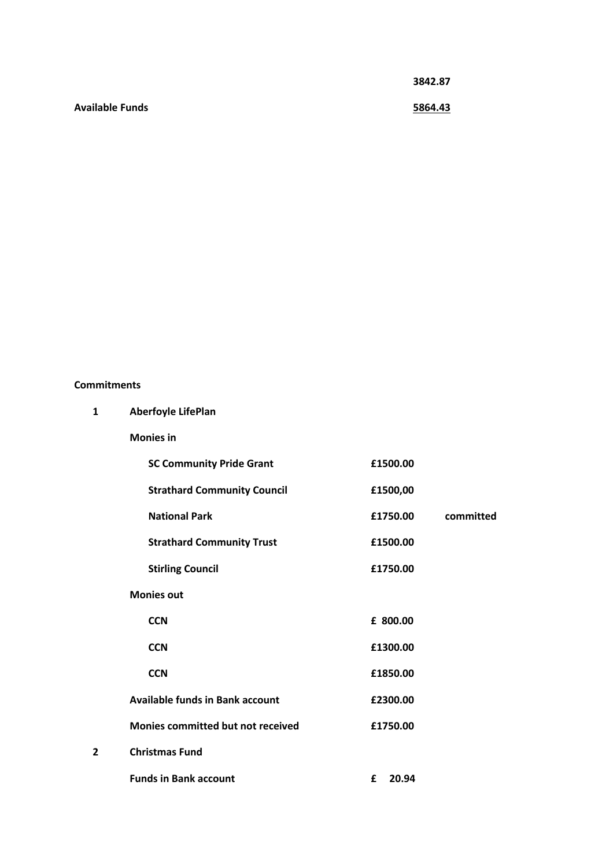### Available Funds **5864.43**

 **3842.87**

### **Commitments**

| Aberfoyle LifePlan                     |            |           |
|----------------------------------------|------------|-----------|
| <b>Monies in</b>                       |            |           |
| <b>SC Community Pride Grant</b>        | £1500.00   |           |
| <b>Strathard Community Council</b>     | £1500,00   |           |
| <b>National Park</b>                   | £1750.00   | committed |
| <b>Strathard Community Trust</b>       | £1500.00   |           |
| <b>Stirling Council</b>                | £1750.00   |           |
| <b>Monies out</b>                      |            |           |
| <b>CCN</b>                             | £ 800.00   |           |
| <b>CCN</b>                             | £1300.00   |           |
| <b>CCN</b>                             | £1850.00   |           |
| <b>Available funds in Bank account</b> | £2300.00   |           |
| Monies committed but not received      | £1750.00   |           |
| <b>Christmas Fund</b>                  |            |           |
| <b>Funds in Bank account</b>           | £<br>20.94 |           |
|                                        |            |           |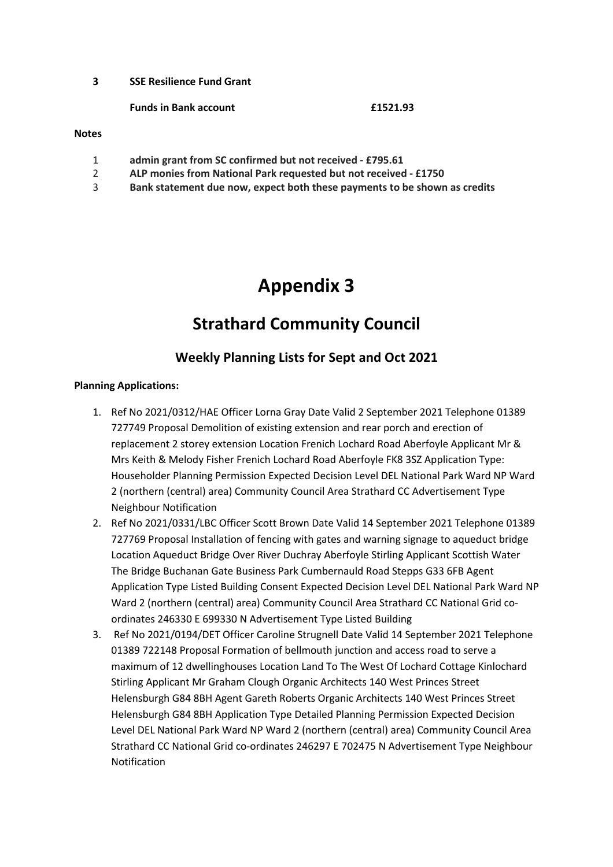**3 SSE Resilience Fund Grant**

**Funds in Bank account £1521.93**

### **Notes**

- 1 **admin grant from SC confirmed but not received - £795.61**
- 2 **ALP monies from National Park requested but not received - £1750**
- 3 **Bank statement due now, expect both these payments to be shown as credits**

# **Appendix 3**

### **Strathard Community Council**

### **Weekly Planning Lists for Sept and Oct 2021**

### **Planning Applications:**

- 1. Ref No 2021/0312/HAE Officer Lorna Gray Date Valid 2 September 2021 Telephone 01389 727749 Proposal Demolition of existing extension and rear porch and erection of replacement 2 storey extension Location Frenich Lochard Road Aberfoyle Applicant Mr & Mrs Keith & Melody Fisher Frenich Lochard Road Aberfoyle FK8 3SZ Application Type: Householder Planning Permission Expected Decision Level DEL National Park Ward NP Ward 2 (northern (central) area) Community Council Area Strathard CC Advertisement Type Neighbour Notification
- 2. Ref No 2021/0331/LBC Officer Scott Brown Date Valid 14 September 2021 Telephone 01389 727769 Proposal Installation of fencing with gates and warning signage to aqueduct bridge Location Aqueduct Bridge Over River Duchray Aberfoyle Stirling Applicant Scottish Water The Bridge Buchanan Gate Business Park Cumbernauld Road Stepps G33 6FB Agent Application Type Listed Building Consent Expected Decision Level DEL National Park Ward NP Ward 2 (northern (central) area) Community Council Area Strathard CC National Grid coordinates 246330 E 699330 N Advertisement Type Listed Building
- 3. Ref No 2021/0194/DET Officer Caroline Strugnell Date Valid 14 September 2021 Telephone 01389 722148 Proposal Formation of bellmouth junction and access road to serve a maximum of 12 dwellinghouses Location Land To The West Of Lochard Cottage Kinlochard Stirling Applicant Mr Graham Clough Organic Architects 140 West Princes Street Helensburgh G84 8BH Agent Gareth Roberts Organic Architects 140 West Princes Street Helensburgh G84 8BH Application Type Detailed Planning Permission Expected Decision Level DEL National Park Ward NP Ward 2 (northern (central) area) Community Council Area Strathard CC National Grid co-ordinates 246297 E 702475 N Advertisement Type Neighbour Notification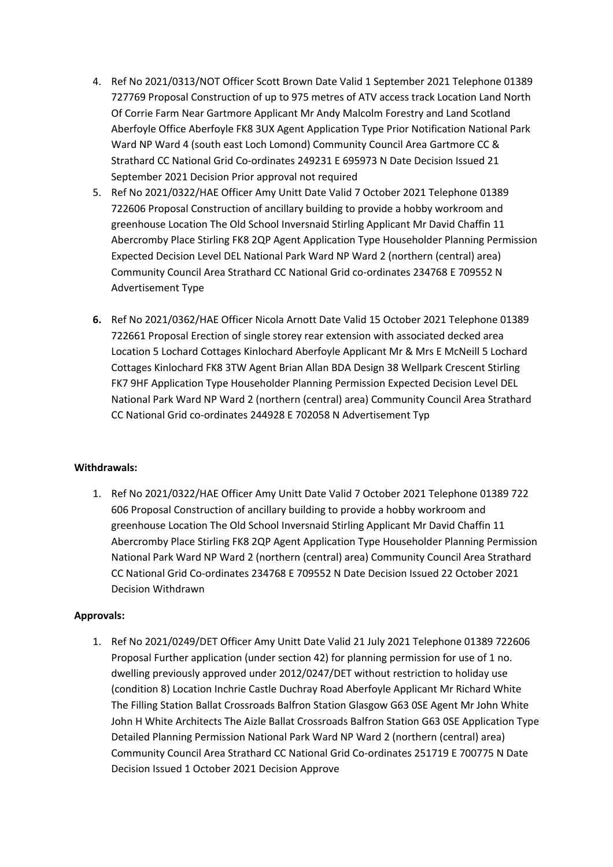- 4. Ref No 2021/0313/NOT Officer Scott Brown Date Valid 1 September 2021 Telephone 01389 727769 Proposal Construction of up to 975 metres of ATV access track Location Land North Of Corrie Farm Near Gartmore Applicant Mr Andy Malcolm Forestry and Land Scotland Aberfoyle Office Aberfoyle FK8 3UX Agent Application Type Prior Notification National Park Ward NP Ward 4 (south east Loch Lomond) Community Council Area Gartmore CC & Strathard CC National Grid Co-ordinates 249231 E 695973 N Date Decision Issued 21 September 2021 Decision Prior approval not required
- 5. Ref No 2021/0322/HAE Officer Amy Unitt Date Valid 7 October 2021 Telephone 01389 722606 Proposal Construction of ancillary building to provide a hobby workroom and greenhouse Location The Old School Inversnaid Stirling Applicant Mr David Chaffin 11 Abercromby Place Stirling FK8 2QP Agent Application Type Householder Planning Permission Expected Decision Level DEL National Park Ward NP Ward 2 (northern (central) area) Community Council Area Strathard CC National Grid co-ordinates 234768 E 709552 N Advertisement Type
- **6.** Ref No 2021/0362/HAE Officer Nicola Arnott Date Valid 15 October 2021 Telephone 01389 722661 Proposal Erection of single storey rear extension with associated decked area Location 5 Lochard Cottages Kinlochard Aberfoyle Applicant Mr & Mrs E McNeill 5 Lochard Cottages Kinlochard FK8 3TW Agent Brian Allan BDA Design 38 Wellpark Crescent Stirling FK7 9HF Application Type Householder Planning Permission Expected Decision Level DEL National Park Ward NP Ward 2 (northern (central) area) Community Council Area Strathard CC National Grid co-ordinates 244928 E 702058 N Advertisement Typ

### **Withdrawals:**

1. Ref No 2021/0322/HAE Officer Amy Unitt Date Valid 7 October 2021 Telephone 01389 722 606 Proposal Construction of ancillary building to provide a hobby workroom and greenhouse Location The Old School Inversnaid Stirling Applicant Mr David Chaffin 11 Abercromby Place Stirling FK8 2QP Agent Application Type Householder Planning Permission National Park Ward NP Ward 2 (northern (central) area) Community Council Area Strathard CC National Grid Co-ordinates 234768 E 709552 N Date Decision Issued 22 October 2021 Decision Withdrawn

### **Approvals:**

1. Ref No 2021/0249/DET Officer Amy Unitt Date Valid 21 July 2021 Telephone 01389 722606 Proposal Further application (under section 42) for planning permission for use of 1 no. dwelling previously approved under 2012/0247/DET without restriction to holiday use (condition 8) Location Inchrie Castle Duchray Road Aberfoyle Applicant Mr Richard White The Filling Station Ballat Crossroads Balfron Station Glasgow G63 0SE Agent Mr John White John H White Architects The Aizle Ballat Crossroads Balfron Station G63 0SE Application Type Detailed Planning Permission National Park Ward NP Ward 2 (northern (central) area) Community Council Area Strathard CC National Grid Co-ordinates 251719 E 700775 N Date Decision Issued 1 October 2021 Decision Approve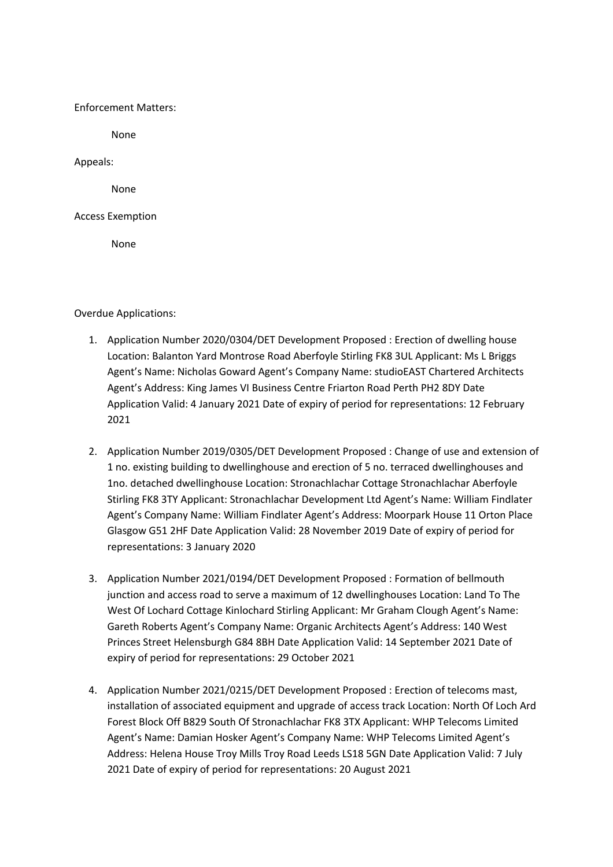Enforcement Matters:

None

Appeals:

None

Access Exemption

None

Overdue Applications:

- 1. Application Number 2020/0304/DET Development Proposed : Erection of dwelling house Location: Balanton Yard Montrose Road Aberfoyle Stirling FK8 3UL Applicant: Ms L Briggs Agent's Name: Nicholas Goward Agent's Company Name: studioEAST Chartered Architects Agent's Address: King James VI Business Centre Friarton Road Perth PH2 8DY Date Application Valid: 4 January 2021 Date of expiry of period for representations: 12 February 2021
- 2. Application Number 2019/0305/DET Development Proposed : Change of use and extension of 1 no. existing building to dwellinghouse and erection of 5 no. terraced dwellinghouses and 1no. detached dwellinghouse Location: Stronachlachar Cottage Stronachlachar Aberfoyle Stirling FK8 3TY Applicant: Stronachlachar Development Ltd Agent's Name: William Findlater Agent's Company Name: William Findlater Agent's Address: Moorpark House 11 Orton Place Glasgow G51 2HF Date Application Valid: 28 November 2019 Date of expiry of period for representations: 3 January 2020
- 3. Application Number 2021/0194/DET Development Proposed : Formation of bellmouth junction and access road to serve a maximum of 12 dwellinghouses Location: Land To The West Of Lochard Cottage Kinlochard Stirling Applicant: Mr Graham Clough Agent's Name: Gareth Roberts Agent's Company Name: Organic Architects Agent's Address: 140 West Princes Street Helensburgh G84 8BH Date Application Valid: 14 September 2021 Date of expiry of period for representations: 29 October 2021
- 4. Application Number 2021/0215/DET Development Proposed : Erection of telecoms mast, installation of associated equipment and upgrade of access track Location: North Of Loch Ard Forest Block Off B829 South Of Stronachlachar FK8 3TX Applicant: WHP Telecoms Limited Agent's Name: Damian Hosker Agent's Company Name: WHP Telecoms Limited Agent's Address: Helena House Troy Mills Troy Road Leeds LS18 5GN Date Application Valid: 7 July 2021 Date of expiry of period for representations: 20 August 2021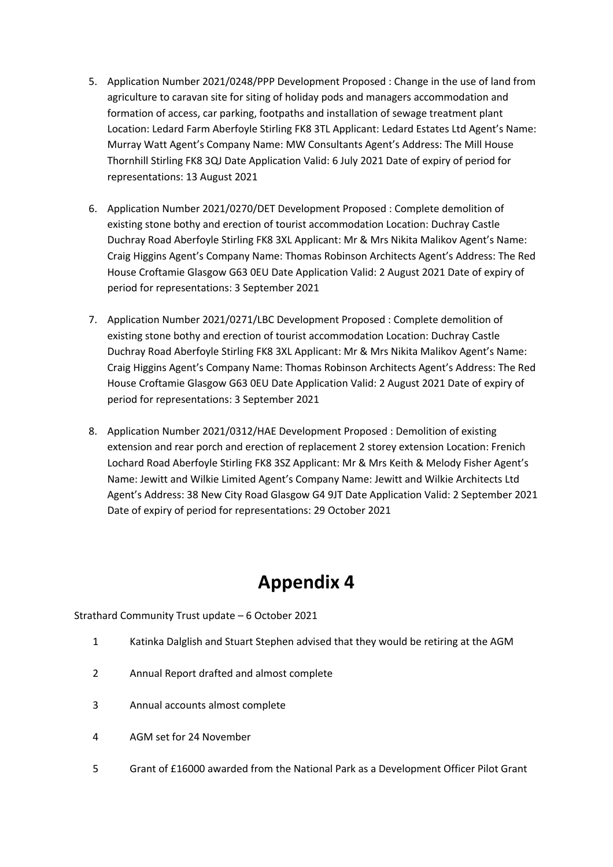- 5. Application Number 2021/0248/PPP Development Proposed : Change in the use of land from agriculture to caravan site for siting of holiday pods and managers accommodation and formation of access, car parking, footpaths and installation of sewage treatment plant Location: Ledard Farm Aberfoyle Stirling FK8 3TL Applicant: Ledard Estates Ltd Agent's Name: Murray Watt Agent's Company Name: MW Consultants Agent's Address: The Mill House Thornhill Stirling FK8 3QJ Date Application Valid: 6 July 2021 Date of expiry of period for representations: 13 August 2021
- 6. Application Number 2021/0270/DET Development Proposed : Complete demolition of existing stone bothy and erection of tourist accommodation Location: Duchray Castle Duchray Road Aberfoyle Stirling FK8 3XL Applicant: Mr & Mrs Nikita Malikov Agent's Name: Craig Higgins Agent's Company Name: Thomas Robinson Architects Agent's Address: The Red House Croftamie Glasgow G63 0EU Date Application Valid: 2 August 2021 Date of expiry of period for representations: 3 September 2021
- 7. Application Number 2021/0271/LBC Development Proposed : Complete demolition of existing stone bothy and erection of tourist accommodation Location: Duchray Castle Duchray Road Aberfoyle Stirling FK8 3XL Applicant: Mr & Mrs Nikita Malikov Agent's Name: Craig Higgins Agent's Company Name: Thomas Robinson Architects Agent's Address: The Red House Croftamie Glasgow G63 0EU Date Application Valid: 2 August 2021 Date of expiry of period for representations: 3 September 2021
- 8. Application Number 2021/0312/HAE Development Proposed : Demolition of existing extension and rear porch and erection of replacement 2 storey extension Location: Frenich Lochard Road Aberfoyle Stirling FK8 3SZ Applicant: Mr & Mrs Keith & Melody Fisher Agent's Name: Jewitt and Wilkie Limited Agent's Company Name: Jewitt and Wilkie Architects Ltd Agent's Address: 38 New City Road Glasgow G4 9JT Date Application Valid: 2 September 2021 Date of expiry of period for representations: 29 October 2021

# **Appendix 4**

Strathard Community Trust update – 6 October 2021

- 1 Katinka Dalglish and Stuart Stephen advised that they would be retiring at the AGM
- 2 Annual Report drafted and almost complete
- 3 Annual accounts almost complete
- 4 AGM set for 24 November
- 5 Grant of £16000 awarded from the National Park as a Development Officer Pilot Grant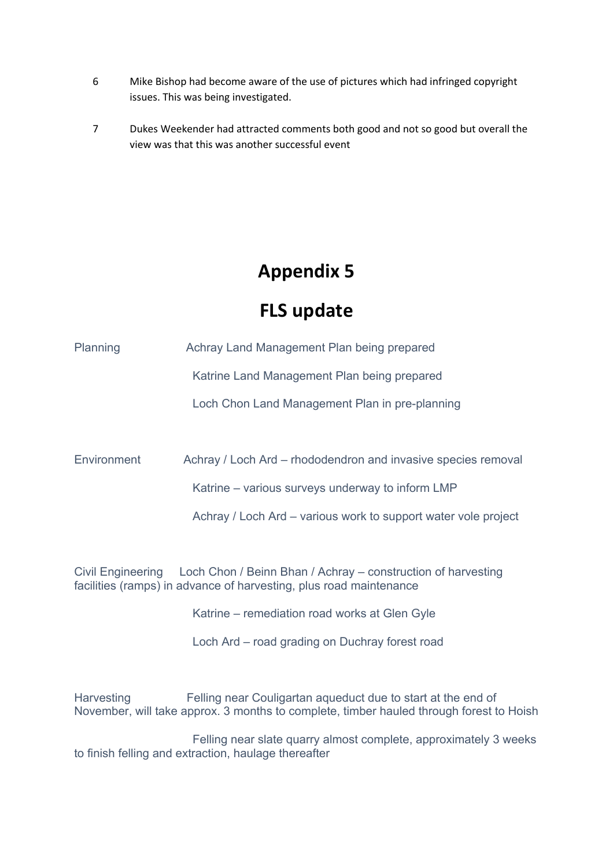- 6 Mike Bishop had become aware of the use of pictures which had infringed copyright issues. This was being investigated.
- 7 Dukes Weekender had attracted comments both good and not so good but overall the view was that this was another successful event

# **Appendix 5**

# **FLS update**

Planning Achray Land Management Plan being prepared

Katrine Land Management Plan being prepared

Loch Chon Land Management Plan in pre-planning

Environment Achray / Loch Ard – rhododendron and invasive species removal

Katrine – various surveys underway to inform LMP

Achray / Loch Ard – various work to support water vole project

Civil Engineering Loch Chon / Beinn Bhan / Achray – construction of harvesting facilities (ramps) in advance of harvesting, plus road maintenance

Katrine – remediation road works at Glen Gyle

Loch Ard – road grading on Duchray forest road

Harvesting Felling near Couligartan aqueduct due to start at the end of November, will take approx. 3 months to complete, timber hauled through forest to Hoish

Felling near slate quarry almost complete, approximately 3 weeks to finish felling and extraction, haulage thereafter